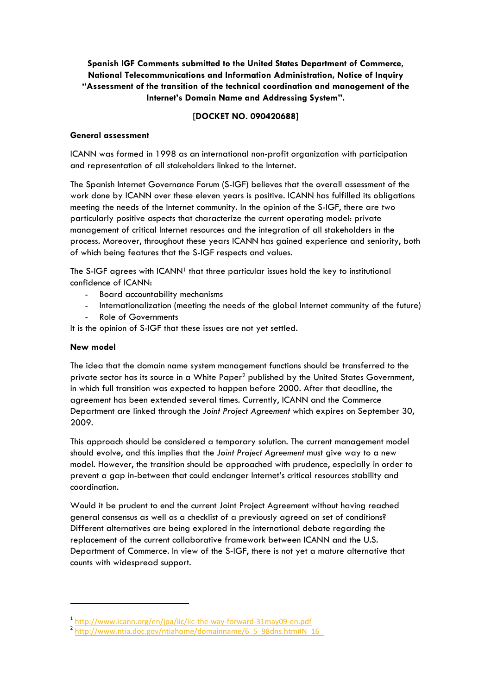# **Spanish IGF Comments submitted to the United States Department of Commerce, National Telecommunications and Information Administration, Notice of Inquiry "Assessment of the transition of the technical coordination and management of the Internet's Domain Name and Addressing System".**

# **[DOCKET NO. 090420688]**

## **General assessment**

ICANN was formed in 1998 as an international non-profit organization with participation and representation of all stakeholders linked to the Internet.

The Spanish Internet Governance Forum (S-IGF) believes that the overall assessment of the work done by ICANN over these eleven years is positive. ICANN has fulfilled its obligations meeting the needs of the Internet community. In the opinion of the S-IGF, there are two particularly positive aspects that characterize the current operating model: private management of critical Internet resources and the integration of all stakeholders in the process. Moreover, throughout these years ICANN has gained experience and seniority, both of which being features that the S-IGF respects and values.

The S-IGF agrees with  $ICANN<sup>1</sup>$  that three particular issues hold the key to institutional confidence of ICANN:

- Board accountability mechanisms
- Internationalization (meeting the needs of the global Internet community of the future)
- Role of Governments

It is the opinion of S-IGF that these issues are not yet settled.

## **New model**

The idea that the domain name system management functions should be transferred to the private sector has its source in a White Paper<sup>2</sup> published by the United States Government, in which full transition was expected to happen before 2000. After that deadline, the agreement has been extended several times. Currently, ICANN and the Commerce Department are linked through the *Joint Project Agreement* which expires on September 30, 2009.

This approach should be considered a temporary solution. The current management model should evolve, and this implies that the *Joint Project Agreement* must give way to a new model. However, the transition should be approached with prudence, especially in order to prevent a gap in-between that could endanger Internet's critical resources stability and coordination.

Would it be prudent to end the current Joint Project Agreement without having reached general consensus as well as a checklist of a previously agreed on set of conditions? Different alternatives are being explored in the international debate regarding the replacement of the current collaborative framework between ICANN and the U.S. Department of Commerce. In view of the S-IGF, there is not yet a mature alternative that counts with widespread support.

<sup>1</sup> http://www.icann.org/en/jpa/iic/iic-the-way-forward-31may09-en.pdf<br>2 http://www.ntia.doc.gov/ntiahome/domainname/6\_5\_98dns.htm#N\_16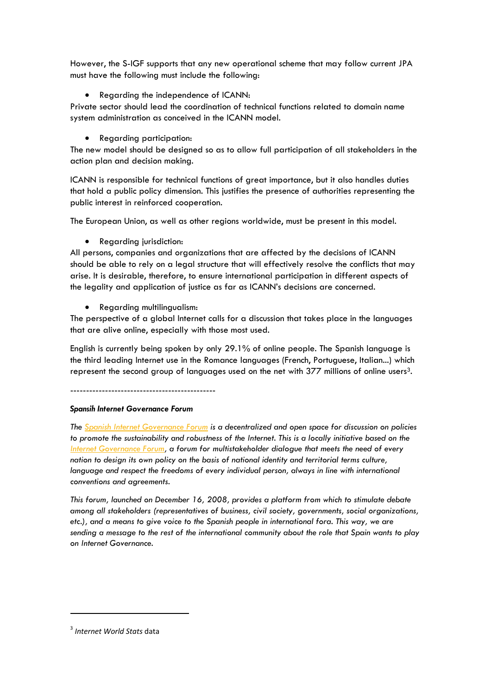However, the S-IGF supports that any new operational scheme that may follow current JPA must have the following must include the following:

• Regarding the independence of ICANN:

Private sector should lead the coordination of technical functions related to domain name system administration as conceived in the ICANN model.

• Regarding participation:

The new model should be designed so as to allow full participation of all stakeholders in the action plan and decision making.

ICANN is responsible for technical functions of great importance, but it also handles duties that hold a public policy dimension. This justifies the presence of authorities representing the public interest in reinforced cooperation.

The European Union, as well as other regions worldwide, must be present in this model.

• Regarding jurisdiction:

All persons, companies and organizations that are affected by the decisions of ICANN should be able to rely on a legal structure that will effectively resolve the conflicts that may arise. It is desirable, therefore, to ensure international participation in different aspects of the legality and application of justice as far as ICANN's decisions are concerned.

• Regarding multilingualism:

The perspective of a global Internet calls for a discussion that takes place in the languages that are alive online, especially with those most used.

English is currently being spoken by only 29.1% of online people. The Spanish language is the third leading Internet use in the Romance languages (French, Portuguese, Italian...) which represent the second group of languages used on the net with  $377$  millions of online users<sup>3</sup>.

----------------------------------------------

### *Spansih Internet Governance Forum*

*The Spanish Internet Governance Forum is a decentralized and open space for discussion on policies*  to promote the sustainability and robustness of the Internet. This is a locally initiative based on the *Internet Governance Forum, a forum for multistakeholder dialogue that meets the need of every nation to design its own policy on the basis of national identity and territorial terms culture, language and respect the freedoms of every individual person, always in line with international conventions and agreements.* 

*This forum, launched on December 16, 2008, provides a platform from which to stimulate debate among all stakeholders (representatives of business, civil society, governments, social organizations, etc.), and a means to give voice to the Spanish people in international fora. This way, we are sending a message to the rest of the international community about the role that Spain wants to play on Internet Governance.* 

l

<sup>3</sup> *Internet World Stats* data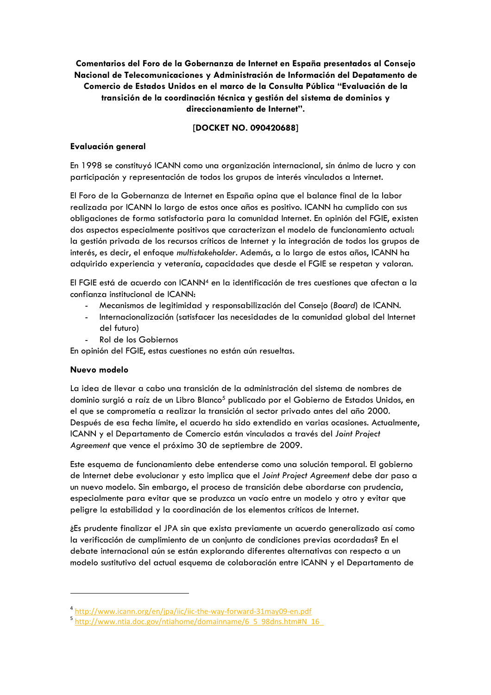**Comentarios del Foro de la Gobernanza de Internet en España presentados al Consejo Nacional de Telecomunicaciones y Administración de Información del Depatamento de Comercio de Estados Unidos en el marco de la Consulta Pública "Evaluación de la transición de la coordinación técnica y gestión del sistema de dominios y direccionamiento de Internet".** 

# **[DOCKET NO. 090420688]**

#### **Evaluación general**

En 1998 se constituyó ICANN como una organización internacional, sin ánimo de lucro y con participación y representación de todos los grupos de interés vinculados a Internet.

El Foro de la Gobernanza de Internet en España opina que el balance final de la labor realizada por ICANN lo largo de estos once años es positivo. ICANN ha cumplido con sus obligaciones de forma satisfactoria para la comunidad Internet. En opinión del FGIE, existen dos aspectos especialmente positivos que caracterizan el modelo de funcionamiento actual: la gestión privada de los recursos críticos de Internet y la integración de todos los grupos de interés, es decir, el enfoque *multistakeholder*. Además, a lo largo de estos años, ICANN ha adquirido experiencia y veteranía, capacidades que desde el FGIE se respetan y valoran.

El FGIE está de acuerdo con ICANN4 en la identificación de tres cuestiones que afectan a la confianza institucional de ICANN:

- Mecanismos de legitimidad y responsabilización del Consejo (*Board*) de ICANN.
- Internacionalización (satisfacer las necesidades de la comunidad global del Internet del futuro)
- Rol de los Gobiernos

En opinión del FGIE, estas cuestiones no están aún resueltas.

#### **Nuevo modelo**

-

La idea de llevar a cabo una transición de la administración del sistema de nombres de dominio surgió a raíz de un Libro Blanco<sup>5</sup> publicado por el Gobierno de Estados Unidos, en el que se comprometía a realizar la transición al sector privado antes del año 2000. Después de esa fecha límite, el acuerdo ha sido extendido en varias ocasiones. Actualmente, ICANN y el Departamento de Comercio están vinculados a través del *Joint Project Agreement* que vence el próximo 30 de septiembre de 2009.

Este esquema de funcionamiento debe entenderse como una solución temporal. El gobierno de Internet debe evolucionar y esto implica que el *Joint Project Agreement* debe dar paso a un nuevo modelo. Sin embargo, el proceso de transición debe abordarse con prudencia, especialmente para evitar que se produzca un vacío entre un modelo y otro y evitar que peligre la estabilidad y la coordinación de los elementos críticos de Internet.

¿Es prudente finalizar el JPA sin que exista previamente un acuerdo generalizado así como la verificación de cumplimiento de un conjunto de condiciones previas acordadas? En el debate internacional aún se están explorando diferentes alternativas con respecto a un modelo sustitutivo del actual esquema de colaboración entre ICANN y el Departamento de

<sup>&</sup>lt;sup>4</sup> http://www.icann.org/en/jpa/iic/iic-the-way-forward-31may09-en.pdf<br><sup>5</sup> http://www.ntia.doc.gov/ntiahome/domainname/6\_5\_98dns.htm#N\_16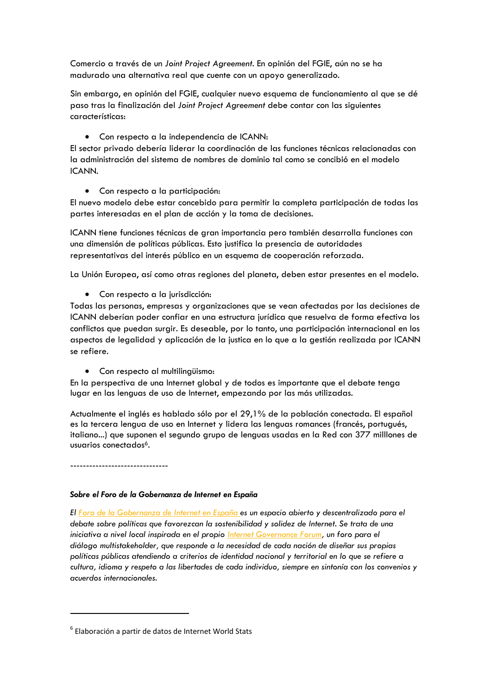Comercio a través de un *Joint Project Agreement*. En opinión del FGIE, aún no se ha madurado una alternativa real que cuente con un apoyo generalizado.

Sin embargo, en opinión del FGIE, cualquier nuevo esquema de funcionamiento al que se dé paso tras la finalización del *Joint Project Agreement* debe contar con las siguientes características:

• Con respecto a la independencia de ICANN:

El sector privado debería liderar la coordinación de las funciones técnicas relacionadas con la administración del sistema de nombres de dominio tal como se concibió en el modelo ICANN.

• Con respecto a la participación:

El nuevo modelo debe estar concebido para permitir la completa participación de todas las partes interesadas en el plan de acción y la toma de decisiones.

ICANN tiene funciones técnicas de gran importancia pero también desarrolla funciones con una dimensión de políticas públicas. Esto justifica la presencia de autoridades representativas del interés público en un esquema de cooperación reforzada.

La Unión Europea, así como otras regiones del planeta, deben estar presentes en el modelo.

• Con respecto a la jurisdicción:

Todas las personas, empresas y organizaciones que se vean afectadas por las decisiones de ICANN deberían poder confiar en una estructura jurídica que resuelva de forma efectiva los conflictos que puedan surgir. Es deseable, por lo tanto, una participación internacional en los aspectos de legalidad y aplicación de la justica en lo que a la gestión realizada por ICANN se refiere.

• Con respecto al multilingüismo:

En la perspectiva de una Internet global y de todos es importante que el debate tenga lugar en las lenguas de uso de Internet, empezando por las más utilizadas.

Actualmente el inglés es hablado sólo por el 29,1% de la población conectada. El español es la tercera lengua de uso en Internet y lidera las lenguas romances (francés, portugués, italiano...) que suponen el segundo grupo de lenguas usadas en la Red con 377 milllones de usuarios conectados<sup>6</sup>.

-------------------------------

l

### *Sobre el Foro de la Gobernanza de Internet en España*

*El Foro de la Gobernanza de Internet en España es un espacio abierto y descentralizado para el debate sobre políticas que favorezcan la sostenibilidad y solidez de Internet. Se trata de una iniciativa a nivel local inspirada en el propio Internet Governance Forum, un foro para el diálogo multistakeholder, que responde a la necesidad de cada nación de diseñar sus propias políticas públicas atendiendo a criterios de identidad nacional y territorial en lo que se refiere a cultura, idioma y respeto a las libertades de cada individuo, siempre en sintonía con los convenios y acuerdos internacionales.* 

 $6$  Elaboración a partir de datos de Internet World Stats